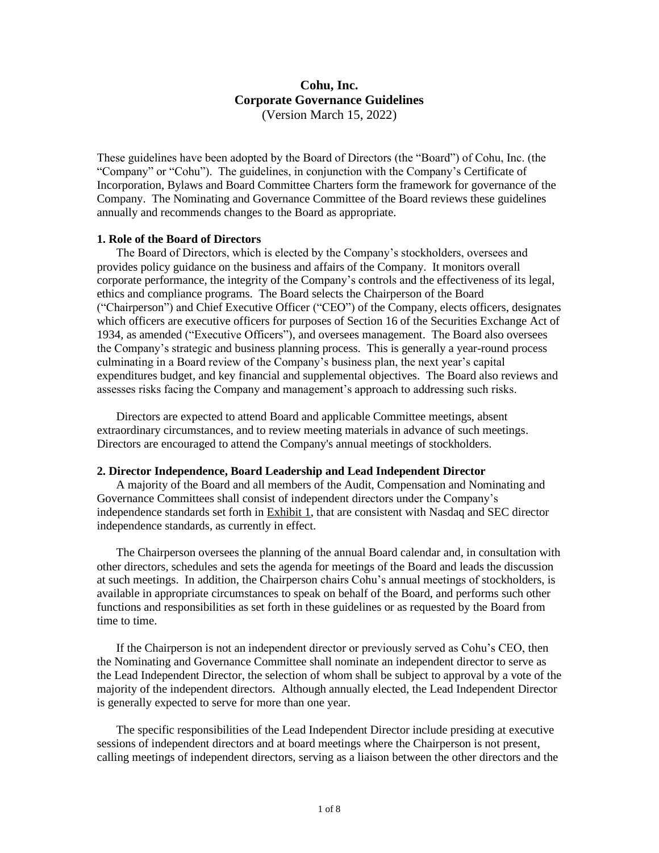# **Cohu, Inc. Corporate Governance Guidelines** (Version March 15, 2022)

These guidelines have been adopted by the Board of Directors (the "Board") of Cohu, Inc. (the "Company" or "Cohu"). The guidelines, in conjunction with the Company's Certificate of Incorporation, Bylaws and Board Committee Charters form the framework for governance of the Company. The Nominating and Governance Committee of the Board reviews these guidelines annually and recommends changes to the Board as appropriate.

## **1. Role of the Board of Directors**

The Board of Directors, which is elected by the Company's stockholders, oversees and provides policy guidance on the business and affairs of the Company. It monitors overall corporate performance, the integrity of the Company's controls and the effectiveness of its legal, ethics and compliance programs. The Board selects the Chairperson of the Board ("Chairperson") and Chief Executive Officer ("CEO") of the Company, elects officers, designates which officers are executive officers for purposes of Section 16 of the Securities Exchange Act of 1934, as amended ("Executive Officers"), and oversees management. The Board also oversees the Company's strategic and business planning process. This is generally a year-round process culminating in a Board review of the Company's business plan, the next year's capital expenditures budget, and key financial and supplemental objectives. The Board also reviews and assesses risks facing the Company and management's approach to addressing such risks.

Directors are expected to attend Board and applicable Committee meetings, absent extraordinary circumstances, and to review meeting materials in advance of such meetings. Directors are encouraged to attend the Company's annual meetings of stockholders.

## **2. Director Independence, Board Leadership and Lead Independent Director**

A majority of the Board and all members of the Audit, Compensation and Nominating and Governance Committees shall consist of independent directors under the Company's independence standards set forth in Exhibit 1, that are consistent with Nasdaq and SEC director independence standards, as currently in effect.

The Chairperson oversees the planning of the annual Board calendar and, in consultation with other directors, schedules and sets the agenda for meetings of the Board and leads the discussion at such meetings. In addition, the Chairperson chairs Cohu's annual meetings of stockholders, is available in appropriate circumstances to speak on behalf of the Board, and performs such other functions and responsibilities as set forth in these guidelines or as requested by the Board from time to time.

If the Chairperson is not an independent director or previously served as Cohu's CEO, then the Nominating and Governance Committee shall nominate an independent director to serve as the Lead Independent Director, the selection of whom shall be subject to approval by a vote of the majority of the independent directors. Although annually elected, the Lead Independent Director is generally expected to serve for more than one year.

The specific responsibilities of the Lead Independent Director include presiding at executive sessions of independent directors and at board meetings where the Chairperson is not present, calling meetings of independent directors, serving as a liaison between the other directors and the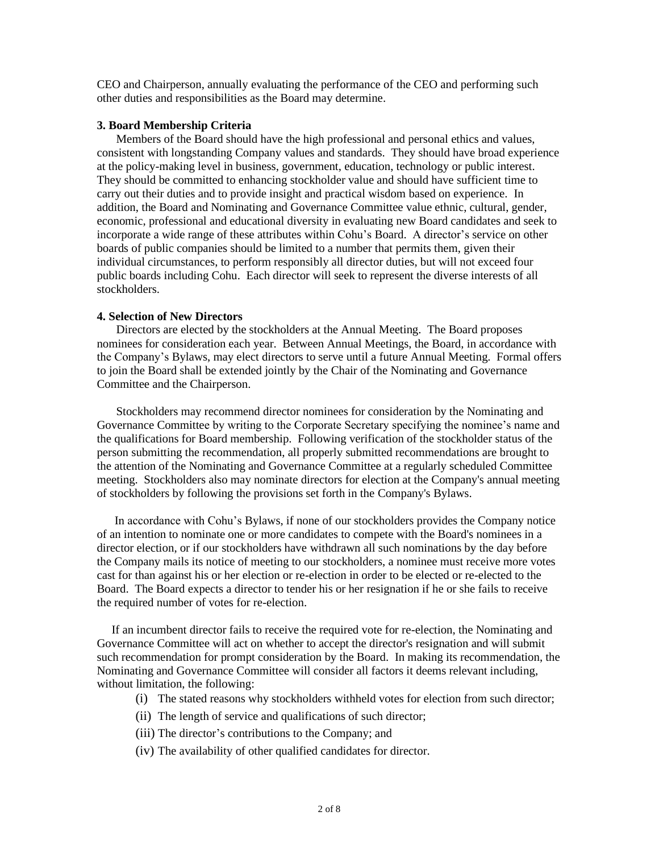CEO and Chairperson, annually evaluating the performance of the CEO and performing such other duties and responsibilities as the Board may determine.

### **3. Board Membership Criteria**

Members of the Board should have the high professional and personal ethics and values, consistent with longstanding Company values and standards. They should have broad experience at the policy-making level in business, government, education, technology or public interest. They should be committed to enhancing stockholder value and should have sufficient time to carry out their duties and to provide insight and practical wisdom based on experience. In addition, the Board and Nominating and Governance Committee value ethnic, cultural, gender, economic, professional and educational diversity in evaluating new Board candidates and seek to incorporate a wide range of these attributes within Cohu's Board. A director's service on other boards of public companies should be limited to a number that permits them, given their individual circumstances, to perform responsibly all director duties, but will not exceed four public boards including Cohu. Each director will seek to represent the diverse interests of all stockholders.

#### **4. Selection of New Directors**

Directors are elected by the stockholders at the Annual Meeting. The Board proposes nominees for consideration each year. Between Annual Meetings, the Board, in accordance with the Company's Bylaws, may elect directors to serve until a future Annual Meeting. Formal offers to join the Board shall be extended jointly by the Chair of the Nominating and Governance Committee and the Chairperson.

Stockholders may recommend director nominees for consideration by the Nominating and Governance Committee by writing to the Corporate Secretary specifying the nominee's name and the qualifications for Board membership. Following verification of the stockholder status of the person submitting the recommendation, all properly submitted recommendations are brought to the attention of the Nominating and Governance Committee at a regularly scheduled Committee meeting. Stockholders also may nominate directors for election at the Company's annual meeting of stockholders by following the provisions set forth in the Company's Bylaws.

 In accordance with Cohu's Bylaws, if none of our stockholders provides the Company notice of an intention to nominate one or more candidates to compete with the Board's nominees in a director election, or if our stockholders have withdrawn all such nominations by the day before the Company mails its notice of meeting to our stockholders, a nominee must receive more votes cast for than against his or her election or re-election in order to be elected or re-elected to the Board. The Board expects a director to tender his or her resignation if he or she fails to receive the required number of votes for re-election.

 If an incumbent director fails to receive the required vote for re-election, the Nominating and Governance Committee will act on whether to accept the director's resignation and will submit such recommendation for prompt consideration by the Board. In making its recommendation, the Nominating and Governance Committee will consider all factors it deems relevant including, without limitation, the following:

- (i) The stated reasons why stockholders withheld votes for election from such director;
- (ii) The length of service and qualifications of such director;
- (iii) The director's contributions to the Company; and
- (iv) The availability of other qualified candidates for director.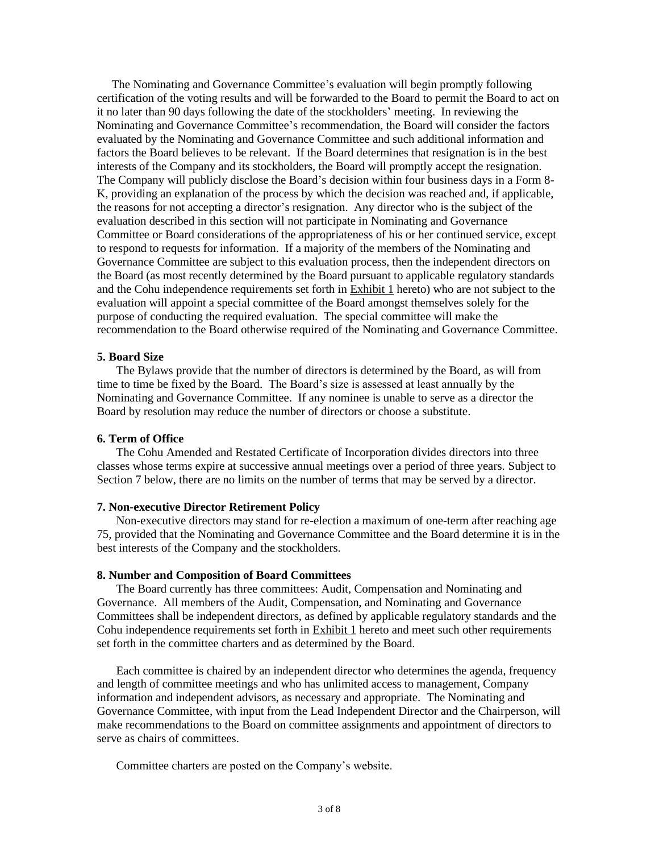The Nominating and Governance Committee's evaluation will begin promptly following certification of the voting results and will be forwarded to the Board to permit the Board to act on it no later than 90 days following the date of the stockholders' meeting. In reviewing the Nominating and Governance Committee's recommendation, the Board will consider the factors evaluated by the Nominating and Governance Committee and such additional information and factors the Board believes to be relevant. If the Board determines that resignation is in the best interests of the Company and its stockholders, the Board will promptly accept the resignation. The Company will publicly disclose the Board's decision within four business days in a Form 8- K, providing an explanation of the process by which the decision was reached and, if applicable, the reasons for not accepting a director's resignation. Any director who is the subject of the evaluation described in this section will not participate in Nominating and Governance Committee or Board considerations of the appropriateness of his or her continued service, except to respond to requests for information. If a majority of the members of the Nominating and Governance Committee are subject to this evaluation process, then the independent directors on the Board (as most recently determined by the Board pursuant to applicable regulatory standards and the Cohu independence requirements set forth in Exhibit 1 hereto) who are not subject to the evaluation will appoint a special committee of the Board amongst themselves solely for the purpose of conducting the required evaluation. The special committee will make the recommendation to the Board otherwise required of the Nominating and Governance Committee.

### **5. Board Size**

The Bylaws provide that the number of directors is determined by the Board, as will from time to time be fixed by the Board. The Board's size is assessed at least annually by the Nominating and Governance Committee. If any nominee is unable to serve as a director the Board by resolution may reduce the number of directors or choose a substitute.

# **6. Term of Office**

The Cohu Amended and Restated Certificate of Incorporation divides directors into three classes whose terms expire at successive annual meetings over a period of three years. Subject to Section 7 below, there are no limits on the number of terms that may be served by a director.

#### **7. Non-executive Director Retirement Policy**

Non-executive directors may stand for re-election a maximum of one-term after reaching age 75, provided that the Nominating and Governance Committee and the Board determine it is in the best interests of the Company and the stockholders.

# **8. Number and Composition of Board Committees**

The Board currently has three committees: Audit, Compensation and Nominating and Governance. All members of the Audit, Compensation, and Nominating and Governance Committees shall be independent directors, as defined by applicable regulatory standards and the Cohu independence requirements set forth in Exhibit 1 hereto and meet such other requirements set forth in the committee charters and as determined by the Board.

 Each committee is chaired by an independent director who determines the agenda, frequency and length of committee meetings and who has unlimited access to management, Company information and independent advisors, as necessary and appropriate. The Nominating and Governance Committee, with input from the Lead Independent Director and the Chairperson, will make recommendations to the Board on committee assignments and appointment of directors to serve as chairs of committees.

Committee charters are posted on the Company's website.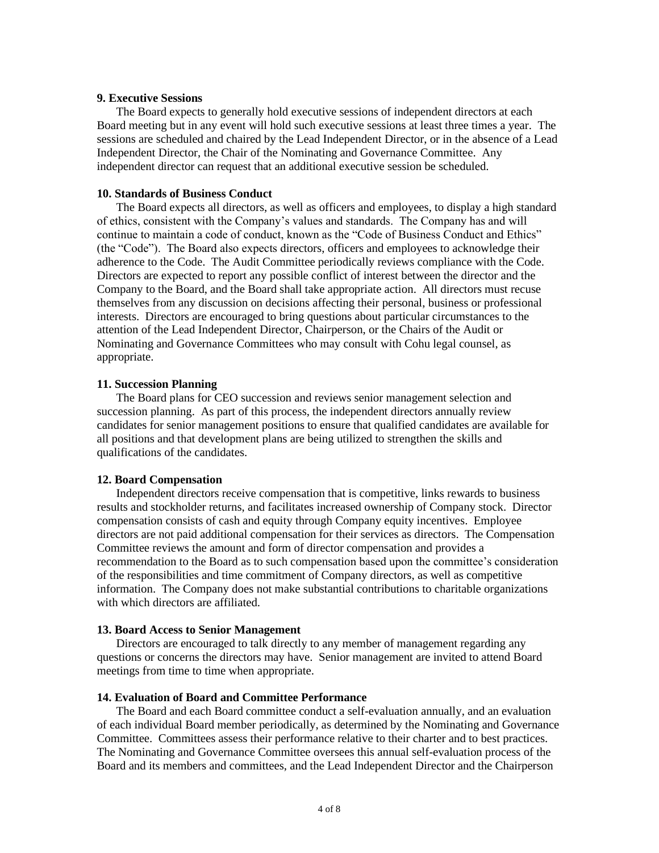## **9. Executive Sessions**

The Board expects to generally hold executive sessions of independent directors at each Board meeting but in any event will hold such executive sessions at least three times a year. The sessions are scheduled and chaired by the Lead Independent Director, or in the absence of a Lead Independent Director, the Chair of the Nominating and Governance Committee. Any independent director can request that an additional executive session be scheduled.

## **10. Standards of Business Conduct**

The Board expects all directors, as well as officers and employees, to display a high standard of ethics, consistent with the Company's values and standards. The Company has and will continue to maintain a code of conduct, known as the "Code of Business Conduct and Ethics" (the "Code"). The Board also expects directors, officers and employees to acknowledge their adherence to the Code. The Audit Committee periodically reviews compliance with the Code. Directors are expected to report any possible conflict of interest between the director and the Company to the Board, and the Board shall take appropriate action. All directors must recuse themselves from any discussion on decisions affecting their personal, business or professional interests. Directors are encouraged to bring questions about particular circumstances to the attention of the Lead Independent Director, Chairperson, or the Chairs of the Audit or Nominating and Governance Committees who may consult with Cohu legal counsel, as appropriate.

# **11. Succession Planning**

The Board plans for CEO succession and reviews senior management selection and succession planning. As part of this process, the independent directors annually review candidates for senior management positions to ensure that qualified candidates are available for all positions and that development plans are being utilized to strengthen the skills and qualifications of the candidates.

## **12. Board Compensation**

Independent directors receive compensation that is competitive, links rewards to business results and stockholder returns, and facilitates increased ownership of Company stock. Director compensation consists of cash and equity through Company equity incentives. Employee directors are not paid additional compensation for their services as directors. The Compensation Committee reviews the amount and form of director compensation and provides a recommendation to the Board as to such compensation based upon the committee's consideration of the responsibilities and time commitment of Company directors, as well as competitive information. The Company does not make substantial contributions to charitable organizations with which directors are affiliated.

## **13. Board Access to Senior Management**

Directors are encouraged to talk directly to any member of management regarding any questions or concerns the directors may have. Senior management are invited to attend Board meetings from time to time when appropriate.

#### **14. Evaluation of Board and Committee Performance**

The Board and each Board committee conduct a self-evaluation annually, and an evaluation of each individual Board member periodically, as determined by the Nominating and Governance Committee. Committees assess their performance relative to their charter and to best practices. The Nominating and Governance Committee oversees this annual self-evaluation process of the Board and its members and committees, and the Lead Independent Director and the Chairperson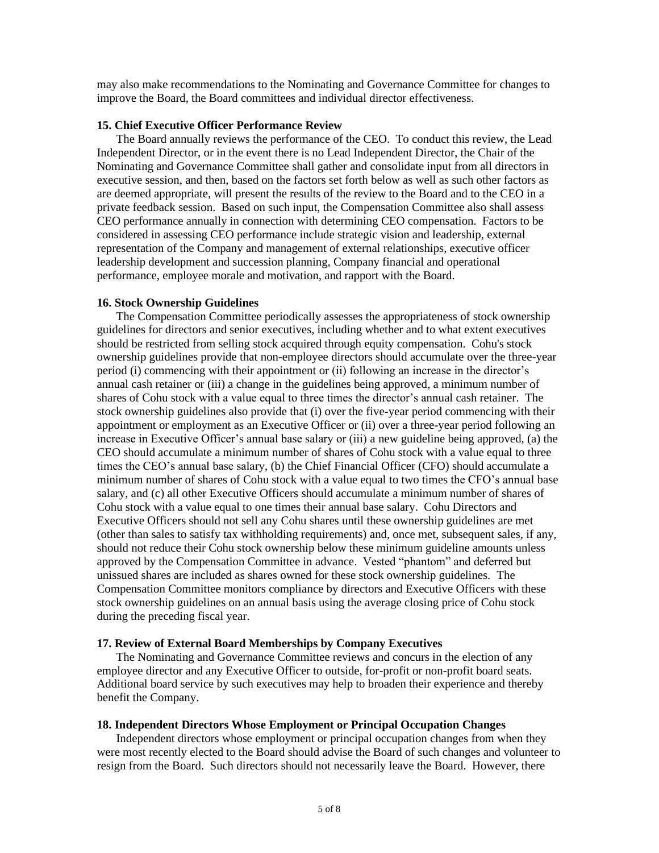may also make recommendations to the Nominating and Governance Committee for changes to improve the Board, the Board committees and individual director effectiveness.

## **15. Chief Executive Officer Performance Review**

The Board annually reviews the performance of the CEO. To conduct this review, the Lead Independent Director, or in the event there is no Lead Independent Director, the Chair of the Nominating and Governance Committee shall gather and consolidate input from all directors in executive session, and then, based on the factors set forth below as well as such other factors as are deemed appropriate, will present the results of the review to the Board and to the CEO in a private feedback session. Based on such input, the Compensation Committee also shall assess CEO performance annually in connection with determining CEO compensation. Factors to be considered in assessing CEO performance include strategic vision and leadership, external representation of the Company and management of external relationships, executive officer leadership development and succession planning, Company financial and operational performance, employee morale and motivation, and rapport with the Board.

## **16. Stock Ownership Guidelines**

The Compensation Committee periodically assesses the appropriateness of stock ownership guidelines for directors and senior executives, including whether and to what extent executives should be restricted from selling stock acquired through equity compensation. Cohu's stock ownership guidelines provide that non-employee directors should accumulate over the three-year period (i) commencing with their appointment or (ii) following an increase in the director's annual cash retainer or (iii) a change in the guidelines being approved, a minimum number of shares of Cohu stock with a value equal to three times the director's annual cash retainer. The stock ownership guidelines also provide that (i) over the five-year period commencing with their appointment or employment as an Executive Officer or (ii) over a three-year period following an increase in Executive Officer's annual base salary or (iii) a new guideline being approved, (a) the CEO should accumulate a minimum number of shares of Cohu stock with a value equal to three times the CEO's annual base salary, (b) the Chief Financial Officer (CFO) should accumulate a minimum number of shares of Cohu stock with a value equal to two times the CFO's annual base salary, and (c) all other Executive Officers should accumulate a minimum number of shares of Cohu stock with a value equal to one times their annual base salary. Cohu Directors and Executive Officers should not sell any Cohu shares until these ownership guidelines are met (other than sales to satisfy tax withholding requirements) and, once met, subsequent sales, if any, should not reduce their Cohu stock ownership below these minimum guideline amounts unless approved by the Compensation Committee in advance. Vested "phantom" and deferred but unissued shares are included as shares owned for these stock ownership guidelines. The Compensation Committee monitors compliance by directors and Executive Officers with these stock ownership guidelines on an annual basis using the average closing price of Cohu stock during the preceding fiscal year.

#### **17. Review of External Board Memberships by Company Executives**

The Nominating and Governance Committee reviews and concurs in the election of any employee director and any Executive Officer to outside, for-profit or non-profit board seats. Additional board service by such executives may help to broaden their experience and thereby benefit the Company.

#### **18. Independent Directors Whose Employment or Principal Occupation Changes**

Independent directors whose employment or principal occupation changes from when they were most recently elected to the Board should advise the Board of such changes and volunteer to resign from the Board. Such directors should not necessarily leave the Board. However, there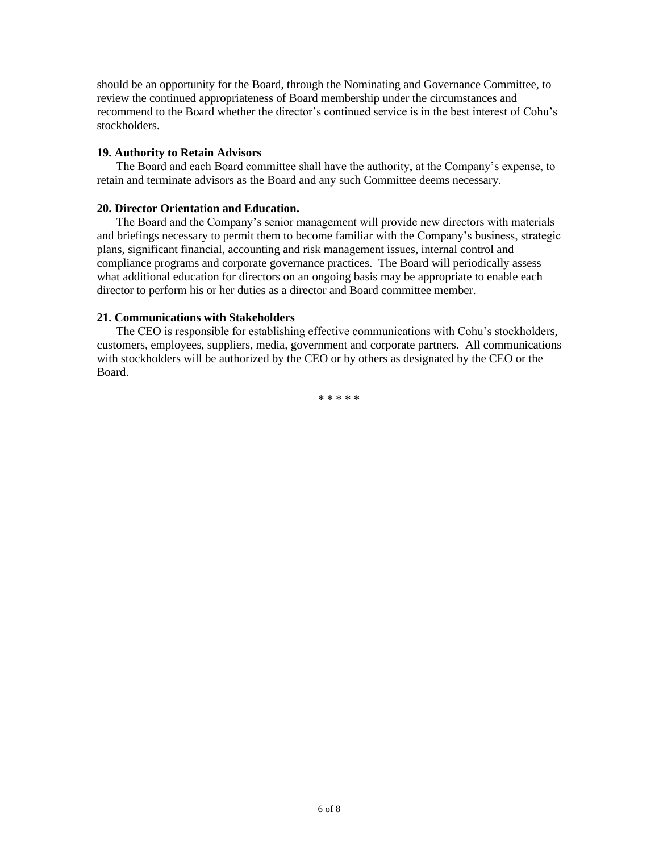should be an opportunity for the Board, through the Nominating and Governance Committee, to review the continued appropriateness of Board membership under the circumstances and recommend to the Board whether the director's continued service is in the best interest of Cohu's stockholders.

# **19. Authority to Retain Advisors**

The Board and each Board committee shall have the authority, at the Company's expense, to retain and terminate advisors as the Board and any such Committee deems necessary.

# **20. Director Orientation and Education.**

The Board and the Company's senior management will provide new directors with materials and briefings necessary to permit them to become familiar with the Company's business, strategic plans, significant financial, accounting and risk management issues, internal control and compliance programs and corporate governance practices. The Board will periodically assess what additional education for directors on an ongoing basis may be appropriate to enable each director to perform his or her duties as a director and Board committee member.

## **21. Communications with Stakeholders**

The CEO is responsible for establishing effective communications with Cohu's stockholders, customers, employees, suppliers, media, government and corporate partners. All communications with stockholders will be authorized by the CEO or by others as designated by the CEO or the Board.

\* \* \* \* \*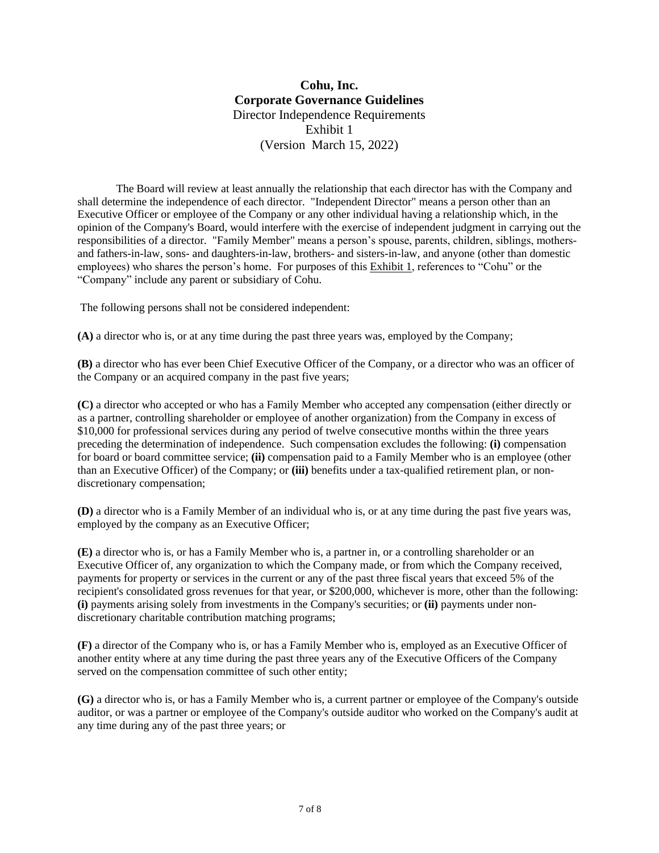# **Cohu, Inc. Corporate Governance Guidelines** Director Independence Requirements Exhibit 1 (Version March 15, 2022)

The Board will review at least annually the relationship that each director has with the Company and shall determine the independence of each director. "Independent Director" means a person other than an Executive Officer or employee of the Company or any other individual having a relationship which, in the opinion of the Company's Board, would interfere with the exercise of independent judgment in carrying out the responsibilities of a director. "Family Member" means a person's spouse, parents, children, siblings, mothersand fathers-in-law, sons- and daughters-in-law, brothers- and sisters-in-law, and anyone (other than domestic employees) who shares the person's home. For purposes of this Exhibit 1, references to "Cohu" or the "Company" include any parent or subsidiary of Cohu.

The following persons shall not be considered independent:

**(A)** a director who is, or at any time during the past three years was, employed by the Company;

**(B)** a director who has ever been Chief Executive Officer of the Company, or a director who was an officer of the Company or an acquired company in the past five years;

**(C)** a director who accepted or who has a Family Member who accepted any compensation (either directly or as a partner, controlling shareholder or employee of another organization) from the Company in excess of \$10,000 for professional services during any period of twelve consecutive months within the three years preceding the determination of independence. Such compensation excludes the following: **(i)** compensation for board or board committee service; **(ii)** compensation paid to a Family Member who is an employee (other than an Executive Officer) of the Company; or **(iii)** benefits under a tax-qualified retirement plan, or nondiscretionary compensation;

**(D)** a director who is a Family Member of an individual who is, or at any time during the past five years was, employed by the company as an Executive Officer;

**(E)** a director who is, or has a Family Member who is, a partner in, or a controlling shareholder or an Executive Officer of, any organization to which the Company made, or from which the Company received, payments for property or services in the current or any of the past three fiscal years that exceed 5% of the recipient's consolidated gross revenues for that year, or \$200,000, whichever is more, other than the following: **(i)** payments arising solely from investments in the Company's securities; or **(ii)** payments under nondiscretionary charitable contribution matching programs;

**(F)** a director of the Company who is, or has a Family Member who is, employed as an Executive Officer of another entity where at any time during the past three years any of the Executive Officers of the Company served on the compensation committee of such other entity;

**(G)** a director who is, or has a Family Member who is, a current partner or employee of the Company's outside auditor, or was a partner or employee of the Company's outside auditor who worked on the Company's audit at any time during any of the past three years; or